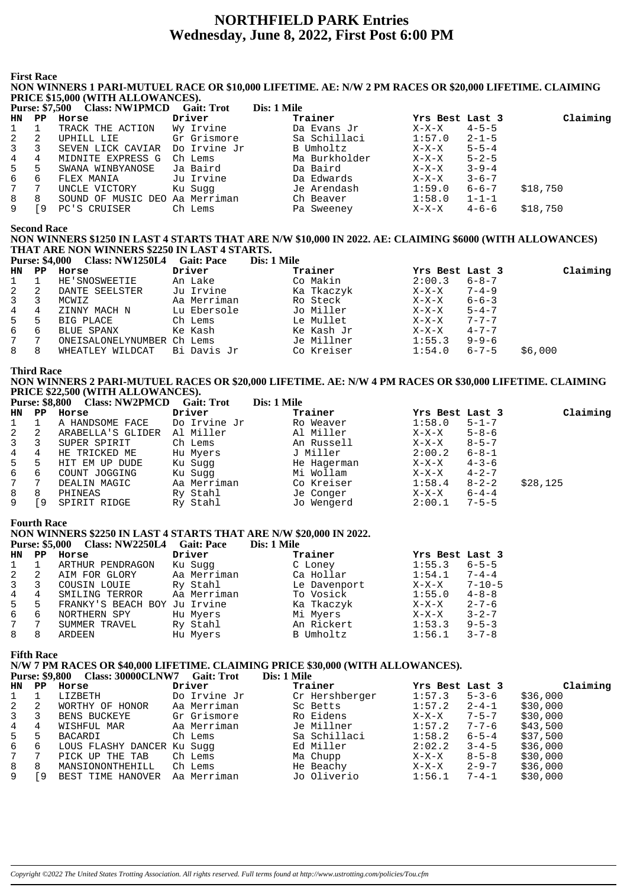## **NORTHFIELD PARK Entries** Wednesday, June 8, 2022, First Post 6:00 PM

**First Race** 

NON WINNERS 1 PARI-MUTUEL RACE OR \$10,000 LIFETIME. AE: N/W 2 PM RACES OR \$20,000 LIFETIME. CLAIMING PRICE \$15,000 (WITH ALLOWANCES).

|                 |     | Purse: \$7,500 Class: NW1PMCD  | <b>Gait: Trot</b> | Dis: 1 Mile   |                 |             |          |
|-----------------|-----|--------------------------------|-------------------|---------------|-----------------|-------------|----------|
| HN              | PP. | Horse                          | Driver            | Trainer       | Yrs Best Last 3 |             | Claiming |
| 1               |     | TRACK THE ACTION               | Wy Irvine         | Da Evans Jr   | X-X-X           | $4 - 5 - 5$ |          |
| 2               | -2  | UPHILL LIE                     | Gr Grismore       | Sa Schillaci  | 1:57.0          | $2 - 1 - 5$ |          |
| $\overline{3}$  | 3   | SEVEN LICK CAVIAR              | Do Irvine Jr      | B Umholtz     | $X-X-X$         | $5 - 5 - 4$ |          |
| $4\overline{ }$ | 4   | MIDNITE EXPRESS G              | Ch Lems           | Ma Burkholder | X-X-X           | $5 - 2 - 5$ |          |
| 5               | -5  | SWANA WINBYANOSE               | Ja Baird          | Da Baird      | $X-X-X$         | $3 - 9 - 4$ |          |
| 6               | 6   | FLEX MANIA                     | Ju Irvine         | Da Edwards    | X-X-X           | $3 - 6 - 7$ |          |
| 7               | 7   | UNCLE VICTORY                  | Ku Suqq           | Je Arendash   | 1:59.0          | $6 - 6 - 7$ | \$18,750 |
| 8               | 8   | SOUND OF MUSIC DEO Aa Merriman |                   | Ch Beaver     | 1:58.0          | $1 - 1 - 1$ |          |
| 9               | 9   | PC'S CRUISER                   | Ch Lems           | Pa Sweeney    | $X-X-X$         | $4 - 6 - 6$ | \$18,750 |

**Second Race** 

NON WINNERS \$1250 IN LAST 4 STARTS THAT ARE N/W \$10,000 IN 2022. AE: CLAIMING \$6000 (WITH ALLOWANCES) THAT ARE NON WINNERS \$2250 IN LAST 4 STARTS.

|              |                | <b>Purse: \$4,000 Class: NW1250L4</b> | Gait: Pace  | Dis: 1 Mile |                 |             |          |
|--------------|----------------|---------------------------------------|-------------|-------------|-----------------|-------------|----------|
| HN.          | PP.            | Horse                                 | Driver      | Trainer     | Yrs Best Last 3 |             | Claiming |
| $\mathbf{1}$ |                | HE'SNOSWEETIE                         | An Lake     | Co Makin    | 2:00.3          | $6 - 8 - 7$ |          |
| 2            | -2             | DANTE SEELSTER                        | Ju Irvine   | Ka Tkaczyk  | $X-X-X$         | $7 - 4 - 9$ |          |
| 3            | $\overline{3}$ | MCWIZ                                 | Aa Merriman | Ro Steck    | X-X-X           | $6 - 6 - 3$ |          |
| 4            | 4              | ZINNY MACH N                          | Lu Ebersole | Jo Miller   | X-X-X           | $5 - 4 - 7$ |          |
| 5 5          |                | BIG PLACE                             | Ch Lems     | Le Mullet   | X-X-X           | $7 - 7 - 7$ |          |
| 6            | -6             | BLUE SPANX                            | Ke Kash     | Ke Kash Jr  | $X-X-X$         | $4 - 7 - 7$ |          |
| 7            | - 7            | ONEISALONELYNUMBER Ch Lems            |             | Je Millner  | 1:55.3          | $9 - 9 - 6$ |          |
| 8            | -8             | WHEATLEY WILDCAT                      | Bi Davis Jr | Co Kreiser  | 1:54.0          | $6 - 7 - 5$ | \$6,000  |

**Third Race** 

NON WINNERS 2 PARI-MUTUEL RACES OR \$20,000 LIFETIME. AE: N/W 4 PM RACES OR \$30,000 LIFETIME. CLAIMING PRICE \$22,500 (WITH ALLOWANCES).

|              |    | Purse: \$8,800 Class: NW2PMCD | Gait: Trot   | Dis: 1 Mile |                 |             |          |
|--------------|----|-------------------------------|--------------|-------------|-----------------|-------------|----------|
| HN           | PP | Horse                         | Driver       | Trainer     | Yrs Best Last 3 |             | Claiming |
|              |    | A HANDSOME FACE               | Do Irvine Jr | Ro Weaver   | 1:58.0          | $5 - 1 - 7$ |          |
| 2            | -2 | ARABELLA'S GLIDER             | Al Miller    | Al Miller   | $X-X-X$         | $5 - 8 - 6$ |          |
| $\mathbf{3}$ | 3  | SUPER SPIRIT                  | Ch Lems      | An Russell  | $X-X-X$         | $8 - 5 - 7$ |          |
| 4            | 4  | HE TRICKED ME                 | Hu Myers     | J Miller    | 2:00.2          | $6 - 8 - 1$ |          |
| 5            | 5  | HIT EM UP DUDE                | Ku Sugg      | He Hagerman | X-X-X           | $4 - 3 - 6$ |          |
| 6            | 6  | COUNT JOGGING                 | Ku Sugg      | Mi Wollam   | $X-X-X$         | $4 - 2 - 7$ |          |
| 7            |    | DEALIN MAGIC                  | Aa Merriman  | Co Kreiser  | 1:58.4          | $8 - 2 - 2$ | \$28,125 |
| 8            | 8  | PHINEAS                       | Ry Stahl     | Je Conger   | $X-X-X$         | $6 - 4 - 4$ |          |
| 9            | 9  | SPIRIT RIDGE                  | Ry Stahl     | Jo Wengerd  | 2:00.1          | $7 - 5 - 5$ |          |

**Fourth Race** 

#### NON WINNERS \$2250 IN LAST 4 STARTS THAT ARE N/W \$20,000 IN 2022. Purse: \$5,000 Class: NW2250L4 Gait: Pace Dis: 1 Mile

|     |    | ____________________ |             |                  |                 |              |
|-----|----|----------------------|-------------|------------------|-----------------|--------------|
| HN. | PP | Horse                | Driver      | Trainer          | Yrs Best Last 3 |              |
|     |    | ARTHUR PENDRAGON     | Ku Sugg     | C Loney          | 1:55.3          | $6 - 5 - 5$  |
| 2   | -2 | AIM FOR GLORY        | Aa Merriman | Ca Hollar        | 1:54.1          | $7 - 4 - 4$  |
|     |    | COUSIN LOUIE         | Ry Stahl    | Le Davenport     | X-X-X           | $7 - 10 - 5$ |
| 4   | 4  | SMILING TERROR       | Aa Merriman | To Vosick        | 1:55.0          | $4 - 8 - 8$  |
| 5   | 5  | FRANKY'S BEACH BOY   | Ju Irvine   | Ka Tkaczyk       | $X-X-X$         | $2 - 7 - 6$  |
| 6   | 6  | NORTHERN SPY         | Hu Myers    | Mi Myers         | $X-X-X$         | $3 - 2 - 7$  |
|     |    | SUMMER TRAVEL        | Ry Stahl    | An Rickert       | 1:53.3          | $9 - 5 - 3$  |
|     | 8  | ARDEEN               | Hu Myers    | <b>B</b> Umholtz | 1:56.1          | $3 - 7 - 8$  |
|     |    |                      |             |                  |                 |              |

**Fifth Race** 

N/W 7 PM RACES OR \$40,000 LIFETIME. CLAIMING PRICE \$30,000 (WITH ALLOWANCES). Purs

| e: \$9,800 | <b>Class: 30000CLNW7</b> | <b>Gait: Trot</b> | Dis: 1 Mile |
|------------|--------------------------|-------------------|-------------|
|            |                          |                   |             |

| HN PP           |    | Horse                      | Driver       | Trainer        | Yrs Best Last 3 |             | Claiming |
|-----------------|----|----------------------------|--------------|----------------|-----------------|-------------|----------|
| 1               |    | LIZBETH                    | Do Irvine Jr | Cr Hershberger | 1:57.3          | $5 - 3 - 6$ | \$36,000 |
| $\mathbf{2}$    | -2 | WORTHY OF HONOR            | Aa Merriman  | Sc Betts       | 1:57.2          | $2 - 4 - 1$ | \$30,000 |
| $3^{\circ}$     |    | BENS BUCKEYE               | Gr Grismore  | Ro Eidens      | $X-X-X$         | $7 - 5 - 7$ | \$30,000 |
| $4\overline{ }$ | 4  | WISHFUL MAR                | Aa Merriman  | Je Millner     | 1:57.2          | 7-7-6       | \$43,500 |
| $5 -$           | 5  | BACARDI                    | Ch Lems      | Sa Schillaci   | 1:58.2          | $6 - 5 - 4$ | \$37,500 |
| 6               | 6  | LOUS FLASHY DANCER Ku Sugg |              | Ed Miller      | 2:02.2          | $3 - 4 - 5$ | \$36,000 |
| $7^{\circ}$     |    | PICK UP THE TAB            | Ch Lems      | Ma Chupp       | X-X-X           | $8 - 5 - 8$ | \$30,000 |
| 8               | 8  | MANSIONONTHEHILL           | Ch Lems      | He Beachy      | X-X-X           | $2 - 9 - 7$ | \$36,000 |
| 9               | ſ9 | BEST TIME HANOVER          | Aa Merriman  | Jo Oliverio    | 1:56.1          | $7 - 4 - 1$ | \$30,000 |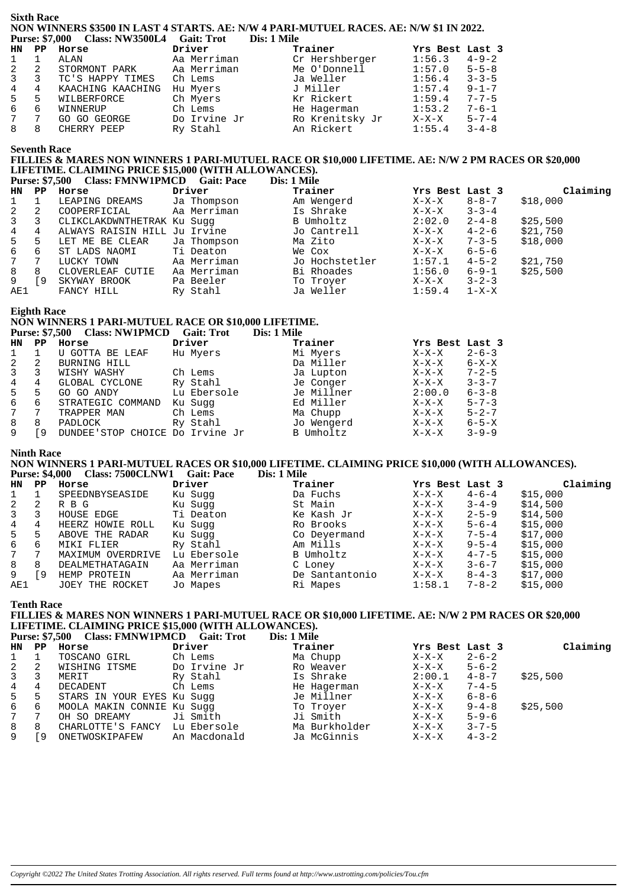#### **Sixth Race NON WINNERS \$3500 IN LAST 4 STARTS. AE: N/W 4 PARI-MUTUEL RACES. AE: N/W \$1 IN 2022. Purse: \$7,000 Class: NW3500L4 Gait: Trot Dis: 1 Mile**

| HN.            | PP. | Horse             | Driver       | Trainer         | Yrs Best Last 3 |             |
|----------------|-----|-------------------|--------------|-----------------|-----------------|-------------|
| 1              |     | ALAN              | Aa Merriman  | Cr Hershberger  | 1:56.3          | $4 - 9 - 2$ |
| 2              | 2   | STORMONT PARK     | Aa Merriman  | Me O'Donnell    | 1:57.0          | $5 - 5 - 8$ |
| 3 <sup>7</sup> | 3   | TC'S HAPPY TIMES  | Ch Lems      | Ja Weller       | 1:56.4          | $3 - 3 - 5$ |
| 4              | 4   | KAACHING KAACHING | Hu Myers     | J Miller        | 1:57.4          | $9 - 1 - 7$ |
| $5 -$          | 5   | WILBERFORCE       | Ch Myers     | Kr Rickert      | 1:59.4          | $7 - 7 - 5$ |
| 6              | 6   | WINNERUP          | Ch Lems      | He Hagerman     | 1:53.2          | $7 - 6 - 1$ |
| $7^{\circ}$    |     | GO GO GEORGE      | Do Irvine Jr | Ro Krenitsky Jr | $X-X-X$         | $5 - 7 - 4$ |
| 8              | 8   | CHERRY PEEP       | Ry Stahl     | An Rickert      | 1:55.4          | $3 - 4 - 8$ |
|                |     |                   |              |                 |                 |             |

**Seventh Race**

#### **FILLIES & MARES NON WINNERS 1 PARI-MUTUEL RACE OR \$10,000 LIFETIME. AE: N/W 2 PM RACES OR \$20,000 LIFETIME. CLAIMING PRICE \$15,000 (WITH ALLOWANCES).**

**Purse: \$7,500 Class: FMNW1PMCD Gait: Pace Dis: 1 Mile**

| HN PP          |                | Horse                        | Driver      | Trainer        | Yrs Best Last 3 |             | Claiming |
|----------------|----------------|------------------------------|-------------|----------------|-----------------|-------------|----------|
|                |                | LEAPING DREAMS               | Ja Thompson | Am Wengerd     | X-X-X           | $8 - 8 - 7$ | \$18,000 |
| 2              | 2              | COOPERFICIAL                 | Aa Merriman | Is Shrake      | $X-X-X$         | $3 - 3 - 4$ |          |
| 3              | $\overline{3}$ | CLIKCLAKDWNTHETRAK Ku Suqq   |             | B Umholtz      | 2:02.0          | $2 - 4 - 8$ | \$25,500 |
| $\overline{4}$ | 4              | ALWAYS RAISIN HILL Ju Irvine |             | Jo Cantrell    | $X-X-X$         | $4 - 2 - 6$ | \$21,750 |
| 5              | -5             | LET ME BE CLEAR Ja Thompson  |             | Ma Zito        | $X-X-X$         | $7 - 3 - 5$ | \$18,000 |
| 6              | 6              | ST LADS NAOMI                | Ti Deaton   | We Cox         | X-X-X           | $6 - 5 - 6$ |          |
| 7              | - 7            | LUCKY TOWN                   | Aa Merriman | Jo Hochstetler | 1:57.1          | $4 - 5 - 2$ | \$21,750 |
| 8              | 8              | CLOVERLEAF CUTIE             | Aa Merriman | Bi Rhoades     | 1:56.0          | 6-9-1       | \$25,500 |
| 9              | ۰9             | SKYWAY BROOK                 | Pa Beeler   | To Troyer      | $X-X-X$         | $3 - 2 - 3$ |          |
| AE1            |                | FANCY HILL                   | Ry Stahl    | Ja Weller      | 1:59.4          | 1-X-X       |          |

#### **Eighth Race**

#### **NON WINNERS 1 PARI-MUTUEL RACE OR \$10,000 LIFETIME.**<br>Purse: \$7.500 Class: NW1PMCD Gait: Trot Dis: 1 Mile Purse: \$7,500 Class: NW1PMCD Gait: Trot

| HN | PP | Horse                           | Driver      | Trainer          | Yrs Best Last 3 |             |
|----|----|---------------------------------|-------------|------------------|-----------------|-------------|
|    |    | U GOTTA BE LEAF                 | Hu Myers    | Mi Myers         | $X-X-X$         | $2 - 6 - 3$ |
|    | 2  | BURNING HILL                    |             | Da Miller        | $X-X-X$         | $6 - X - X$ |
|    |    | WISHY WASHY                     | Ch Lems     | Ja Lupton        | $X-X-X$         | $7 - 2 - 5$ |
| 4  | 4  | GLOBAL CYCLONE                  | Ry Stahl    | Je Conger        | $X-X-X$         | $3 - 3 - 7$ |
| 5. | 5  | GO GO ANDY                      | Lu Ebersole | Je Millner       | 2:00.0          | $6 - 3 - 8$ |
| 6  | 6  | STRATEGIC COMMAND               | Ku Sugg     | Ed Miller        | $X-X-X$         | $5 - 7 - 3$ |
|    | 7  | TRAPPER MAN                     | Ch Lems     | Ma Chupp         | X-X-X           | $5 - 2 - 7$ |
| 8  | 8  | PADLOCK                         | Ry Stahl    | Jo Wengerd       | $X-X-X$         | $6 - 5 - X$ |
|    | 9  | DUNDEE'STOP CHOICE Do Irvine Jr |             | <b>B</b> Umholtz | $X-X-X$         | $3 - 9 - 9$ |

#### **Ninth Race**

**NON WINNERS 1 PARI-MUTUEL RACES OR \$10,000 LIFETIME. CLAIMING PRICE \$10,000 (WITH ALLOWANCES). Purse: \$4,000 Class: 7500CLNW1 Gait: Pace** 

| HN  | PP | Horse             | Driver      | Trainer        | Yrs Best Last 3 |             | Claiming |
|-----|----|-------------------|-------------|----------------|-----------------|-------------|----------|
|     |    | SPEEDNBYSEASIDE   | Ku Sugg     | Da Fuchs       | X-X-X           | $4 - 6 - 4$ | \$15,000 |
| 2   | 2  | R B G             | Ku Sugg     | St Main        | $X-X-X$         | $3 - 4 - 9$ | \$14,500 |
| 3   |    | HOUSE EDGE        | Ti Deaton   | Ke Kash Jr     | $X-X-X$         | $2 - 5 - 9$ | \$14,500 |
| 4   | 4  | HEERZ HOWIE ROLL  | Ku Sugg     | Ro Brooks      | X-X-X           | $5 - 6 - 4$ | \$15,000 |
| 5   | 5  | ABOVE THE RADAR   | Ku Sugg     | Co Deyermand   | X-X-X           | $7 - 5 - 4$ | \$17,000 |
| 6   | 6  | MIKI FLIER        | Ry Stahl    | Am Mills       | X-X-X           | $9 - 5 - 4$ | \$15,000 |
| 7   |    | MAXIMUM OVERDRIVE | Lu Ebersole | B Umholtz      | $X-X-X$         | $4 - 7 - 5$ | \$15,000 |
| 8   | 8  | DEALMETHATAGAIN   | Aa Merriman | C Loney        | X-X-X           | $3 - 6 - 7$ | \$15,000 |
| 9   | 9  | HEMP PROTEIN      | Aa Merriman | De Santantonio | X-X-X           | $8 - 4 - 3$ | \$17,000 |
| AE1 |    | JOEY THE ROCKET   | Jo Mapes    | Ri Mapes       | 1:58.1          | $7 - 8 - 2$ | \$15,000 |

#### **Tenth Race**

#### **FILLIES & MARES NON WINNERS 1 PARI-MUTUEL RACE OR \$10,000 LIFETIME. AE: N/W 2 PM RACES OR \$20,000 LIFETIME. CLAIMING PRICE \$15,000 (WITH ALLOWANCES). Purse: \$7,500 Class: FMNW1PMCD Gait: Trot**

|              |   | Turst, prove Class, EVINTHERICD Gall, True |              | DIO. THIRD    |                 |             |          |
|--------------|---|--------------------------------------------|--------------|---------------|-----------------|-------------|----------|
| HN PP        |   | Horse                                      | Driver       | Trainer       | Yrs Best Last 3 |             | Claiming |
|              |   | TOSCANO GIRL                               | Ch Lems      | Ma Chupp      | X-X-X           | $2 - 6 - 2$ |          |
| 2            | 2 | WISHING ITSME                              | Do Irvine Jr | Ro Weaver     | $X-X-X$         | $5 - 6 - 2$ |          |
| $\mathbf{3}$ |   | MERIT                                      | Ry Stahl     | Is Shrake     | 2:00.1          | $4 - 8 - 7$ | \$25,500 |
| 4            | 4 | DECADENT                                   | Ch Lems      | He Hagerman   | X-X-X           | $7 - 4 - 5$ |          |
| 5            | 5 | STARS IN YOUR EYES Ku Suqq                 |              | Je Millner    | X-X-X           | $6 - 8 - 6$ |          |
| 6            | 6 | MOOLA MAKIN CONNIE Ku Suqq                 |              | To Troyer     | X-X-X           | $9 - 4 - 8$ | \$25,500 |
| 7            |   | OH SO DREAMY                               | Ji Smith     | Ji Smith      | X-X-X           | $5 - 9 - 6$ |          |
| 8            | 8 | CHARLOTTE'S FANCY Lu Ebersole              |              | Ma Burkholder | $X-X-X$         | $3 - 7 - 5$ |          |
| 9            | 9 | ONETWOSKIPAFEW                             | An Macdonald | Ja McGinnis   | X-X-X           | $4 - 3 - 2$ |          |
|              |   |                                            |              |               |                 |             |          |